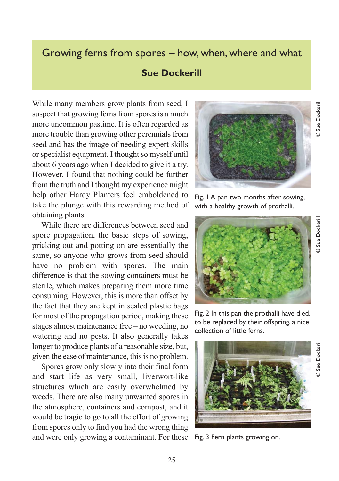## Growing ferns from spores – how, when, where and what

## **Sue Dockerill**

While many members grow plants from seed, I suspect that growing ferns from spores is a much more uncommon pastime. It is often regarded as more trouble than growing other perennials from seed and has the image of needing expert skills or specialist equipment. I thought so myself until about 6 years ago when I decided to give it a try. However, I found that nothing could be further from the truth and I thought my experience might help other Hardy Planters feel emboldened to take the plunge with this rewarding method of obtaining plants.

While there are differences between seed and spore propagation, the basic steps of sowing, pricking out and potting on are essentially the same, so anyone who grows from seed should have no problem with spores. The main difference is that the sowing containers must be sterile, which makes preparing them more time consuming. However, this is more than offset by the fact that they are kept in sealed plastic bags for most of the propagation period, making these stages almost maintenance free – no weeding, no watering and no pests. It also generally takes longer to produce plants of a reasonable size, but, given the ease of maintenance, this is no problem.

Spores grow only slowly into their final form and start life as very small, liverwort-like structures which are easily overwhelmed by weeds. There are also many unwanted spores in the atmosphere, containers and compost, and it would be tragic to go to all the effort of growing from spores only to find you had the wrong thing and were only growing a contaminant. For these Fig. 3 Fern plants growing on.



Fig. 1 A pan two months after sowing, with a healthy growth of prothalli.



Fig. 2 In this pan the prothalli have died, to be replaced by their offspring, a nice collection of little ferns.



© Sue Dockerill

25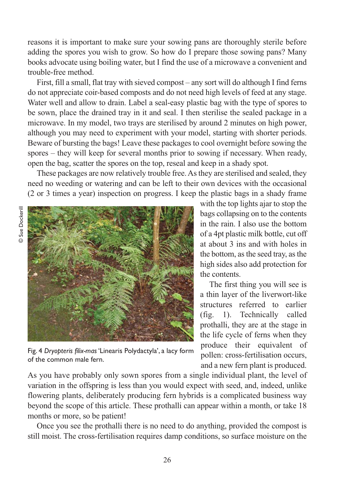reasons it is important to make sure your sowing pans are thoroughly sterile before adding the spores you wish to grow. So how do I prepare those sowing pans? Many books advocate using boiling water, but I find the use of a microwave a convenient and trouble-free method.

First, fill a small, flat tray with sieved compost – any sort will do although I find ferns do not appreciate coir-based composts and do not need high levels of feed at any stage. Water well and allow to drain. Label a seal-easy plastic bag with the type of spores to be sown, place the drained tray in it and seal. I then sterilise the sealed package in a microwave. In my model, two trays are sterilised by around 2 minutes on high power, although you may need to experiment with your model, starting with shorter periods. Beware of bursting the bags! Leave these packages to cool overnight before sowing the spores – they will keep for several months prior to sowing if necessary. When ready, open the bag, scatter the spores on the top, reseal and keep in a shady spot.

These packages are now relatively trouble free. As they are sterilised and sealed, they need no weeding or watering and can be left to their own devices with the occasional (2 or 3 times a year) inspection on progress. I keep the plastic bags in a shady frame



Fig. 4 *Dryopteris filix-mas* 'Linearis Polydactyla', a lacy form of the common male fern.

with the top lights ajar to stop the bags collapsing on to the contents in the rain. I also use the bottom of a 4pt plastic milk bottle, cut off at about 3 ins and with holes in the bottom, as the seed tray, as the high sides also add protection for the contents.

The first thing you will see is a thin layer of the liverwort-like structures referred to earlier (fig. 1). Technically called prothalli, they are at the stage in the life cycle of ferns when they produce their equivalent of pollen: cross-fertilisation occurs, and a new fern plant is produced.

As you have probably only sown spores from a single individual plant, the level of variation in the offspring is less than you would expect with seed, and, indeed, unlike flowering plants, deliberately producing fern hybrids is a complicated business way beyond the scope of this article. These prothalli can appear within a month, or take 18 months or more, so be patient!

Once you see the prothalli there is no need to do anything, provided the compost is still moist. The cross-fertilisation requires damp conditions, so surface moisture on the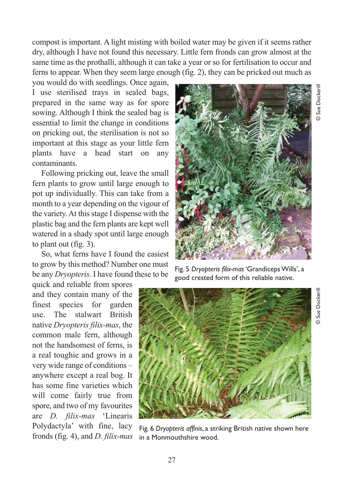© Sue Dockerill

Sue Dockeril

compost is important. A light misting with boiled water may be given if it seems rather dry, although I have not found this necessary. Little fern fronds can grow almost at the same time as the prothalli, although it can take a year or so for fertilisation to occur and ferns to appear. When they seem large enough (fig. 2), they can be pricked out much as

you would do with seedlings. Once again, I use sterilised trays in sealed bags, prepared in the same way as for spore sowing. Although I think the sealed bag is essential to limit the change in conditions on pricking out, the sterilisation is not so important at this stage as your little fern plants have a head start on any contaminants.

Following pricking out, leave the small fern plants to grow until large enough to pot up individually. This can take from a month to a year depending on the vigour of the variety. At this stage I dispense with the plastic bag and the fern plants are kept well watered in a shady spot until large enough to plant out (fig. 3).

So, what ferns have I found the easiest to grow by this method? Number one must be any *Dryopteris*. I have found these to be

quick and reliable from spores and they contain many of the finest species for garden use. The stalwart British native *Dryopteris filix-mas*, the common male fern, although not the handsomest of ferns, is a real toughie and grows in a very wide range of conditions – anywhere except a real bog. It has some fine varieties which will come fairly true from spore, and two of my favourites are *D. filix-mas* 'Linearis Polydactyla' with fine, lacy fronds (fig. 4), and *D. filix-mas*



Fig. 5 *Dryopteris filix-mas* 'Grandiceps Wills', a good crested form of this reliable native.



Fig. 6 *Dryopteris affinis*, a striking British native shown here in a Monmouthshire wood.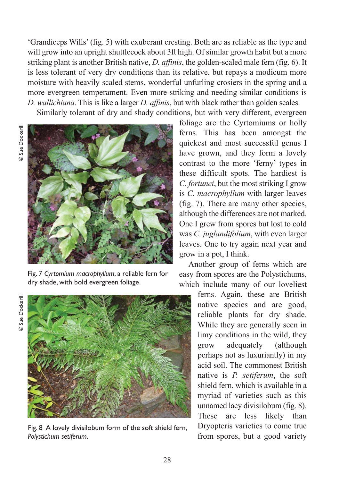'Grandiceps Wills' (fig. 5) with exuberant cresting. Both are as reliable as the type and will grow into an upright shuttlecock about 3ft high. Of similar growth habit but a more striking plant is another British native, *D. affinis*, the golden-scaled male fern (fig. 6). It is less tolerant of very dry conditions than its relative, but repays a modicum more moisture with heavily scaled stems, wonderful unfurling crosiers in the spring and a more evergreen temperament. Even more striking and needing similar conditions is *D. wallichiana*. This is like a larger *D. affinis*, but with black rather than golden scales. Similarly tolerant of dry and shady conditions, but with very different, evergreen

**Sue Dockerill** © Sue Dockerill



Fig. 7 *Cyrtomium macrophyllum*, a reliable fern for dry shade, with bold evergreen foliage.

Sue Dockerill © Sue Dockerill $\overline{O}$ 



Fig. 8 A lovely divisilobum form of the soft shield fern, *Polystichum setiferum*.

foliage are the Cyrtomiums or holly ferns. This has been amongst the quickest and most successful genus I have grown, and they form a lovely contrast to the more 'ferny' types in these difficult spots. The hardiest is *C. fortunei*, but the most striking I grow is *C. macrophyllum* with larger leaves (fig. 7). There are many other species, although the differences are not marked. One I grew from spores but lost to cold was *C. juglandifolium*, with even larger leaves. One to try again next year and grow in a pot, I think.

Another group of ferns which are easy from spores are the Polystichums, which include many of our loveliest

> ferns. Again, these are British native species and are good, reliable plants for dry shade. While they are generally seen in limy conditions in the wild, they grow adequately (although perhaps not as luxuriantly) in my acid soil. The commonest British native is *P. setiferum*, the soft shield fern, which is available in a myriad of varieties such as this unnamed lacy divisilobum (fig. 8). These are less likely than Dryopteris varieties to come true from spores, but a good variety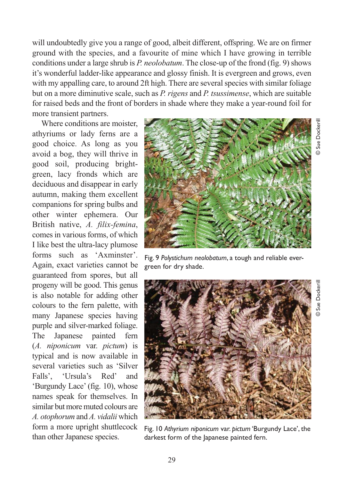will undoubtedly give you a range of good, albeit different, offspring. We are on firmer ground with the species, and a favourite of mine which I have growing in terrible conditions under a large shrub is *P. neolobatum*. The close-up of the frond (fig. 9) shows it's wonderful ladder-like appearance and glossy finish. It is evergreen and grows, even with my appalling care, to around 2ft high. There are several species with similar foliage but on a more diminutive scale, such as *P. rigens* and *P. tsussimense*, which are suitable for raised beds and the front of borders in shade where they make a year-round foil for more transient partners.

Where conditions are moister, athyriums or lady ferns are a good choice. As long as you avoid a bog, they will thrive in good soil, producing brightgreen, lacy fronds which are deciduous and disappear in early autumn, making them excellent companions for spring bulbs and other winter ephemera. Our British native, *A. filix-femina*, comes in various forms, of which I like best the ultra-lacy plumose forms such as 'Axminster'. Again, exact varieties cannot be guaranteed from spores, but all progeny will be good. This genus is also notable for adding other colours to the fern palette, with many Japanese species having purple and silver-marked foliage. The Japanese painted fern (*A. niponicum* var. *pictum*) is typical and is now available in several varieties such as 'Silver Falls', 'Ursula's Red' and 'Burgundy Lace' (fig. 10), whose names speak for themselves. In similar but more muted colours are *A. otophorum* and *A. vidalii* which form a more upright shuttlecock than other Japanese species.



© Sue Dockerill

Sue Dockerill

© Sue Dockerill

Sue Dockerill

green for dry shade.



Fig. 10 *Athyrium niponicum* var. *pictum* 'Burgundy Lace', the darkest form of the Japanese painted fern.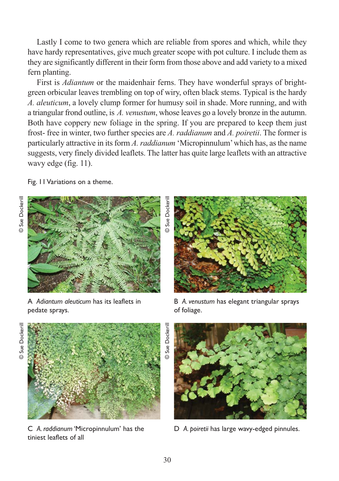Lastly I come to two genera which are reliable from spores and which, while they have hardy representatives, give much greater scope with pot culture. I include them as they are significantly different in their form from those above and add variety to a mixed fern planting.

First is *Adiantum* or the maidenhair ferns. They have wonderful sprays of brightgreen orbicular leaves trembling on top of wiry, often black stems. Typical is the hardy *A. aleuticum*, a lovely clump former for humusy soil in shade. More running, and with a triangular frond outline, is *A. venustum*, whose leaves go a lovely bronze in the autumn. Both have coppery new foliage in the spring. If you are prepared to keep them just frost- free in winter, two further species are *A. raddianum* and *A. poiretii*. The former is particularly attractive in its form *A. raddianum* 'Micropinnulum' which has, as the name suggests, very finely divided leaflets. The latter has quite large leaflets with an attractive wavy edge (fig. 11).

Fig. 11 Variations on a theme.



A *Adiantum aleuticum* has its leaflets in pedate sprays.



B *A. venustum* has elegant triangular sprays of foliage.





C *A. raddianum* 'Micropinnulum' has the tiniest leaflets of all



D *A. poiretii* has large wavy-edged pinnules.